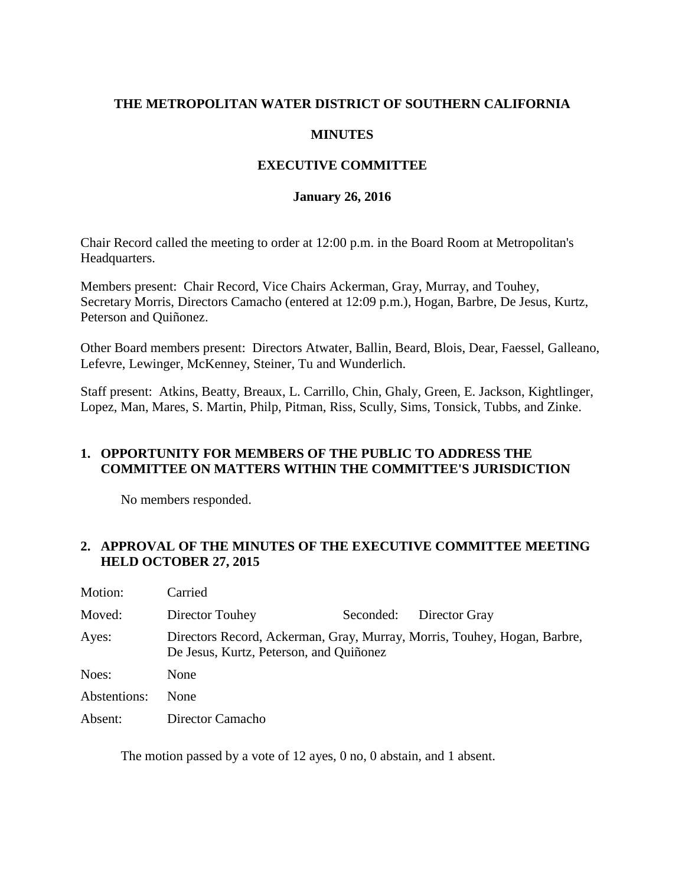## **THE METROPOLITAN WATER DISTRICT OF SOUTHERN CALIFORNIA**

#### **MINUTES**

## **EXECUTIVE COMMITTEE**

#### **January 26, 2016**

Chair Record called the meeting to order at 12:00 p.m. in the Board Room at Metropolitan's Headquarters.

Members present: Chair Record, Vice Chairs Ackerman, Gray, Murray, and Touhey, Secretary Morris, Directors Camacho (entered at 12:09 p.m.), Hogan, Barbre, De Jesus, Kurtz, Peterson and Quiñonez.

Other Board members present: Directors Atwater, Ballin, Beard, Blois, Dear, Faessel, Galleano, Lefevre, Lewinger, McKenney, Steiner, Tu and Wunderlich.

Staff present: Atkins, Beatty, Breaux, L. Carrillo, Chin, Ghaly, Green, E. Jackson, Kightlinger, Lopez, Man, Mares, S. Martin, Philp, Pitman, Riss, Scully, Sims, Tonsick, Tubbs, and Zinke.

## **1. OPPORTUNITY FOR MEMBERS OF THE PUBLIC TO ADDRESS THE COMMITTEE ON MATTERS WITHIN THE COMMITTEE'S JURISDICTION**

No members responded.

## **2. APPROVAL OF THE MINUTES OF THE EXECUTIVE COMMITTEE MEETING HELD OCTOBER 27, 2015**

| Motion:      | Carried                                                                                                             |           |               |  |
|--------------|---------------------------------------------------------------------------------------------------------------------|-----------|---------------|--|
| Moved:       | Director Touhey                                                                                                     | Seconded: | Director Gray |  |
| Ayes:        | Directors Record, Ackerman, Gray, Murray, Morris, Touhey, Hogan, Barbre,<br>De Jesus, Kurtz, Peterson, and Quiñonez |           |               |  |
| Noes:        | None                                                                                                                |           |               |  |
| Abstentions: | None                                                                                                                |           |               |  |
| Absent:      | Director Camacho                                                                                                    |           |               |  |

The motion passed by a vote of 12 ayes, 0 no, 0 abstain, and 1 absent.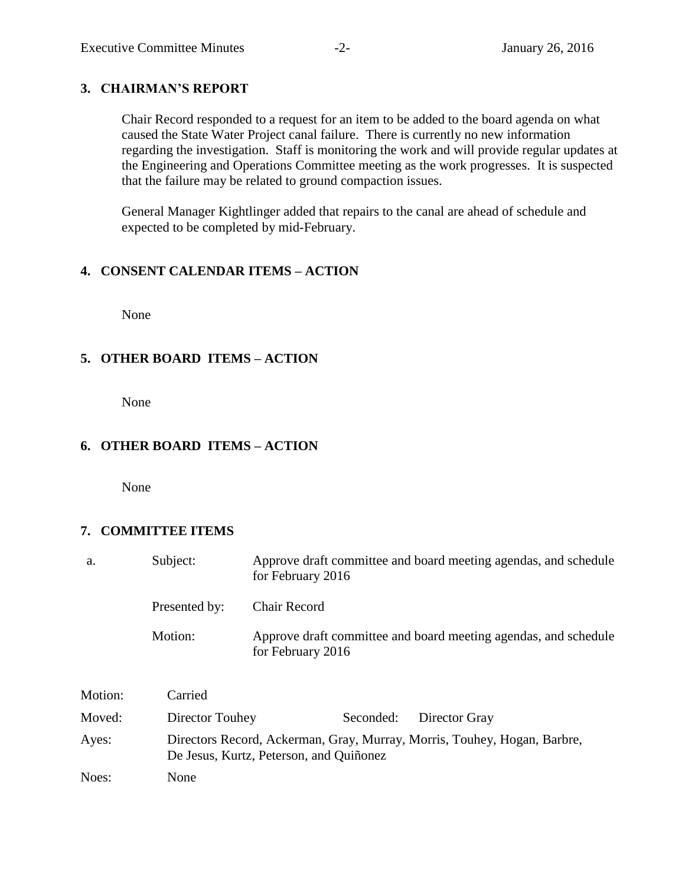## **3. CHAIRMAN'S REPORT**

Chair Record responded to a request for an item to be added to the board agenda on what caused the State Water Project canal failure. There is currently no new information regarding the investigation. Staff is monitoring the work and will provide regular updates at the Engineering and Operations Committee meeting as the work progresses. It is suspected that the failure may be related to ground compaction issues.

General Manager Kightlinger added that repairs to the canal are ahead of schedule and expected to be completed by mid-February.

## **4. CONSENT CALENDAR ITEMS – ACTION**

None

## **5. OTHER BOARD ITEMS – ACTION**

None

## **6. OTHER BOARD ITEMS – ACTION**

None

## **7. COMMITTEE ITEMS**

| a.      | Subject:        | Approve draft committee and board meeting agendas, and schedule<br>for February 2016                                |  |  |
|---------|-----------------|---------------------------------------------------------------------------------------------------------------------|--|--|
|         | Presented by:   | <b>Chair Record</b>                                                                                                 |  |  |
|         | Motion:         | Approve draft committee and board meeting agendas, and schedule<br>for February 2016                                |  |  |
| Motion: | Carried         |                                                                                                                     |  |  |
| Moved:  | Director Touhey | Seconded:<br>Director Gray                                                                                          |  |  |
| Ayes:   |                 | Directors Record, Ackerman, Gray, Murray, Morris, Touhey, Hogan, Barbre,<br>De Jesus, Kurtz, Peterson, and Quiñonez |  |  |
| Noes:   | None            |                                                                                                                     |  |  |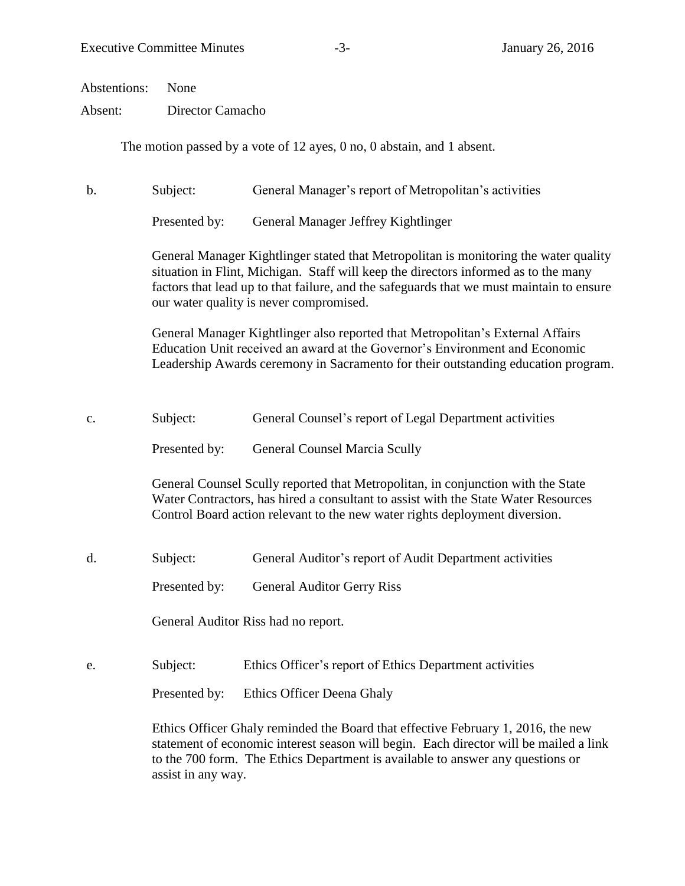Abstentions: None

Absent: Director Camacho

The motion passed by a vote of 12 ayes, 0 no, 0 abstain, and 1 absent.

b. Subject: General Manager's report of Metropolitan's activities

Presented by: General Manager Jeffrey Kightlinger

General Manager Kightlinger stated that Metropolitan is monitoring the water quality situation in Flint, Michigan. Staff will keep the directors informed as to the many factors that lead up to that failure, and the safeguards that we must maintain to ensure our water quality is never compromised.

General Manager Kightlinger also reported that Metropolitan's External Affairs Education Unit received an award at the Governor's Environment and Economic Leadership Awards ceremony in Sacramento for their outstanding education program.

c. Subject: General Counsel's report of Legal Department activities

Presented by: General Counsel Marcia Scully

General Counsel Scully reported that Metropolitan, in conjunction with the State Water Contractors, has hired a consultant to assist with the State Water Resources Control Board action relevant to the new water rights deployment diversion.

d. Subject: General Auditor's report of Audit Department activities

Presented by: General Auditor Gerry Riss

General Auditor Riss had no report.

e. Subject: Ethics Officer's report of Ethics Department activities

Presented by: Ethics Officer Deena Ghaly

Ethics Officer Ghaly reminded the Board that effective February 1, 2016, the new statement of economic interest season will begin. Each director will be mailed a link to the 700 form. The Ethics Department is available to answer any questions or assist in any way.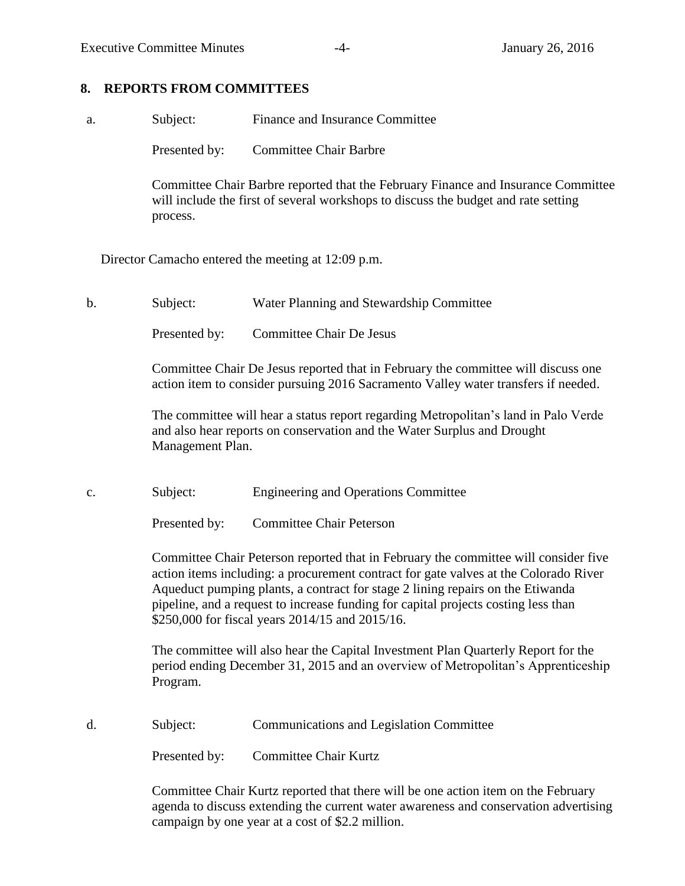# **8. REPORTS FROM COMMITTEES**

| a. | Subject:                                                                                                                                                                                                                                                                                                                                                                                               | Finance and Insurance Committee                                                                                                                                         |  |  |
|----|--------------------------------------------------------------------------------------------------------------------------------------------------------------------------------------------------------------------------------------------------------------------------------------------------------------------------------------------------------------------------------------------------------|-------------------------------------------------------------------------------------------------------------------------------------------------------------------------|--|--|
|    | Presented by:                                                                                                                                                                                                                                                                                                                                                                                          | <b>Committee Chair Barbre</b>                                                                                                                                           |  |  |
|    | process.                                                                                                                                                                                                                                                                                                                                                                                               | Committee Chair Barbre reported that the February Finance and Insurance Committee<br>will include the first of several workshops to discuss the budget and rate setting |  |  |
|    |                                                                                                                                                                                                                                                                                                                                                                                                        | Director Camacho entered the meeting at 12:09 p.m.                                                                                                                      |  |  |
| b. | Subject:                                                                                                                                                                                                                                                                                                                                                                                               | Water Planning and Stewardship Committee                                                                                                                                |  |  |
|    | Presented by:                                                                                                                                                                                                                                                                                                                                                                                          | <b>Committee Chair De Jesus</b>                                                                                                                                         |  |  |
|    |                                                                                                                                                                                                                                                                                                                                                                                                        | Committee Chair De Jesus reported that in February the committee will discuss one<br>action item to consider pursuing 2016 Sacramento Valley water transfers if needed. |  |  |
|    | The committee will hear a status report regarding Metropolitan's land in Palo Verde<br>and also hear reports on conservation and the Water Surplus and Drought<br>Management Plan.                                                                                                                                                                                                                     |                                                                                                                                                                         |  |  |
| c. | Subject:                                                                                                                                                                                                                                                                                                                                                                                               | <b>Engineering and Operations Committee</b>                                                                                                                             |  |  |
|    | Presented by:                                                                                                                                                                                                                                                                                                                                                                                          | <b>Committee Chair Peterson</b>                                                                                                                                         |  |  |
|    | Committee Chair Peterson reported that in February the committee will consider five<br>action items including: a procurement contract for gate valves at the Colorado River<br>Aqueduct pumping plants, a contract for stage 2 lining repairs on the Etiwanda<br>pipeline, and a request to increase funding for capital projects costing less than<br>\$250,000 for fiscal years 2014/15 and 2015/16. |                                                                                                                                                                         |  |  |
|    | The committee will also hear the Capital Investment Plan Quarterly Report for the<br>period ending December 31, 2015 and an overview of Metropolitan's Apprenticeship<br>Program.                                                                                                                                                                                                                      |                                                                                                                                                                         |  |  |
| d. | Subject:                                                                                                                                                                                                                                                                                                                                                                                               | <b>Communications and Legislation Committee</b>                                                                                                                         |  |  |
|    | Presented by:                                                                                                                                                                                                                                                                                                                                                                                          | <b>Committee Chair Kurtz</b>                                                                                                                                            |  |  |
|    |                                                                                                                                                                                                                                                                                                                                                                                                        |                                                                                                                                                                         |  |  |

Committee Chair Kurtz reported that there will be one action item on the February agenda to discuss extending the current water awareness and conservation advertising campaign by one year at a cost of \$2.2 million.